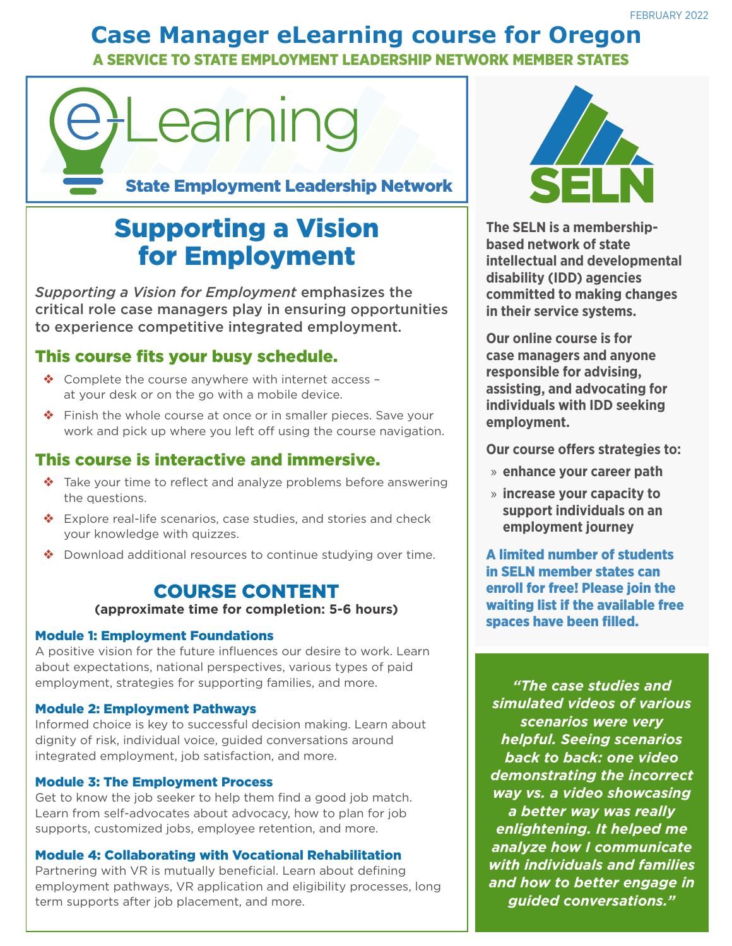# **Case Manager eLearning course for Oregon**

A SERVICE TO STATE EMPLOYMENT LEADERSHIP NETWORK MEMBER STATES

# Learning

State Employment Leadership Network

# Supporting a Vision for Employment

*Supporting a Vision for Employment* emphasizes the critical role case managers play in ensuring opportunities to experience competitive integrated employment.

## This course fits your busy schedule.

- ❖ Complete the course anywhere with internet access at your desk or on the go with a mobile device.
- ❖ Finish the whole course at once or in smaller pieces. Save your work and pick up where you left off using the course navigation.

### This course is interactive and immersive.

- ❖ Take your time to reflect and analyze problems before answering the questions.
- ❖ Explore real-life scenarios, case studies, and stories and check your knowledge with quizzes.
- ❖ Download additional resources to continue studying over time.

## COURSE CONTENT

#### **(approximate time for completion: 5-6 hours)**

#### Module 1: Employment Foundations

A positive vision for the future influences our desire to work. Learn about expectations, national perspectives, various types of paid employment, strategies for supporting families, and more.

#### Module 2: Employment Pathways

Informed choice is key to successful decision making. Learn about dignity of risk, individual voice, guided conversations around integrated employment, job satisfaction, and more.

#### Module 3: The Employment Process

Get to know the job seeker to help them find a good job match. Learn from self-advocates about advocacy, how to plan for job supports, customized jobs, employee retention, and more.

#### Module 4: Collaborating with Vocational Rehabilitation

Partnering with VR is mutually beneficial. Learn about defining employment pathways, VR application and eligibility processes, long term supports after job placement, and more.



**The SELN is a membershipbased network of state intellectual and developmental disability (IDD) agencies committed to making changes in their service systems.**

**Our online course is for case managers and anyone responsible for advising, assisting, and advocating for individuals with IDD seeking employment.**

**Our course offers strategies to:**

- » **enhance your career path**
- » **increase your capacity to support individuals on an employment journey**

A limited number of students in SELN member states can enroll for free! Please join the waiting list if the available free spaces have been filled.

*"The case studies and simulated videos of various scenarios were very helpful. Seeing scenarios back to back: one video demonstrating the incorrect way vs. a video showcasing a better way was really enlightening. It helped me analyze how I communicate with individuals and families and how to better engage in guided conversations."*